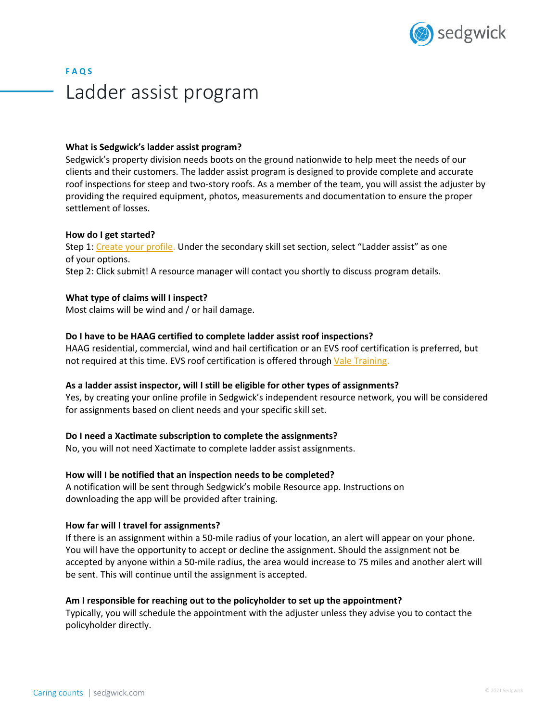

# **F A Q S** Ladder assist program

## **What is Sedgwick's ladder assist program?**

Sedgwick's property division needs boots on the ground nationwide to help meet the needs of our clients and their customers. The ladder assist program is designed to provide complete and accurate roof inspections for steep and two-story roofs. As a member of the team, you will assist the adjuster by providing the required equipment, photos, measurements and documentation to ensure the proper settlement of losses.

## **How do I get started?**

Step 1: Create your profile. Under the secondary skill set section, select "Ladder assist" as one of your options. Step 2: Click submit! A resource manager will contact you shortly to discuss program details.

## **What type of claims will I inspect?**

Most claims will be wind and / or hail damage.

# **Do I have to be HAAG certified to complete ladder assist roof inspections?**

HAAG residential, commercial, wind and hail certification or an EVS roof certification is preferred, but not required at this time. EVS roof certification is offered through Vale Training.

#### **As a ladder assist inspector, will I still be eligible for other types of assignments?**

Yes, by creating your online profile in Sedgwick's independent resource network, you will be considered for assignments based on client needs and your specific skill set.

#### **Do I need a Xactimate subscription to complete the assignments?**

No, you will not need Xactimate to complete ladder assist assignments.

#### **How will I be notified that an inspection needs to be completed?**

A notification will be sent through Sedgwick's mobile Resource app. Instructions on downloading the app will be provided after training.

#### **How far will I travel for assignments?**

If there is an assignment within a 50-mile radius of your location, an alert will appear on your phone. You will have the opportunity to accept or decline the assignment. Should the assignment not be accepted by anyone within a 50-mile radius, the area would increase to 75 miles and another alert will be sent. This will continue until the assignment is accepted.

#### **Am I responsible for reaching out to the policyholder to set up the appointment?**

Typically, you will schedule the appointment with the adjuster unless they advise you to contact the policyholder directly.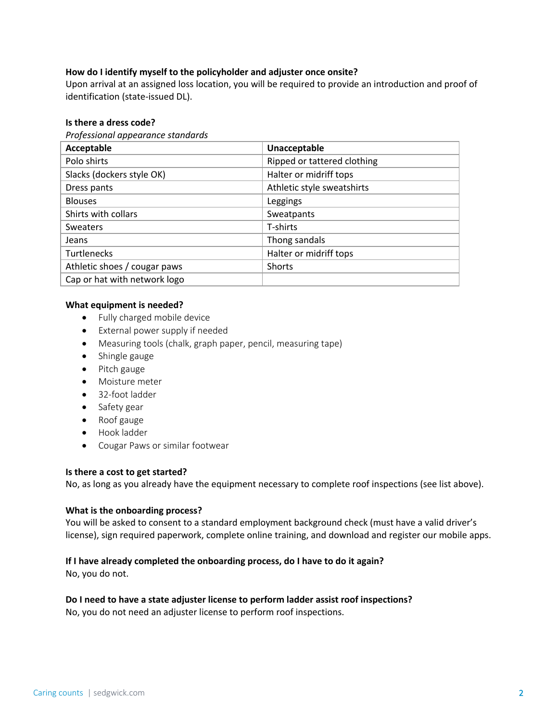# **How do I identify myself to the policyholder and adjuster once onsite?**

Upon arrival at an assigned loss location, you will be required to provide an introduction and proof of identification (state-issued DL).

## **Is there a dress code?**

#### *Professional appearance standards*

| Acceptable                   | Unacceptable                |
|------------------------------|-----------------------------|
| Polo shirts                  | Ripped or tattered clothing |
| Slacks (dockers style OK)    | Halter or midriff tops      |
| Dress pants                  | Athletic style sweatshirts  |
| <b>Blouses</b>               | Leggings                    |
| Shirts with collars          | Sweatpants                  |
| <b>Sweaters</b>              | T-shirts                    |
| Jeans                        | Thong sandals               |
| <b>Turtlenecks</b>           | Halter or midriff tops      |
| Athletic shoes / cougar paws | Shorts                      |
| Cap or hat with network logo |                             |

## **What equipment is needed?**

- Fully charged mobile device
- External power supply if needed
- Measuring tools (chalk, graph paper, pencil, measuring tape)
- Shingle gauge
- Pitch gauge
- Moisture meter
- 32-foot ladder
- Safety gear
- Roof gauge
- Hook ladder
- Cougar Paws or similar footwear

# **Is there a cost to get started?**

No, as long as you already have the equipment necessary to complete roof inspections (see list above).

# **What is the onboarding process?**

You will be asked to consent to a standard employment background check (must have a valid driver's license), sign required paperwork, complete online training, and download and register our mobile apps.

# **If I have already completed the onboarding process, do I have to do it again?**

No, you do not.

# **Do I need to have a state adjuster license to perform ladder assist roof inspections?**

No, you do not need an adjuster license to perform roof inspections.